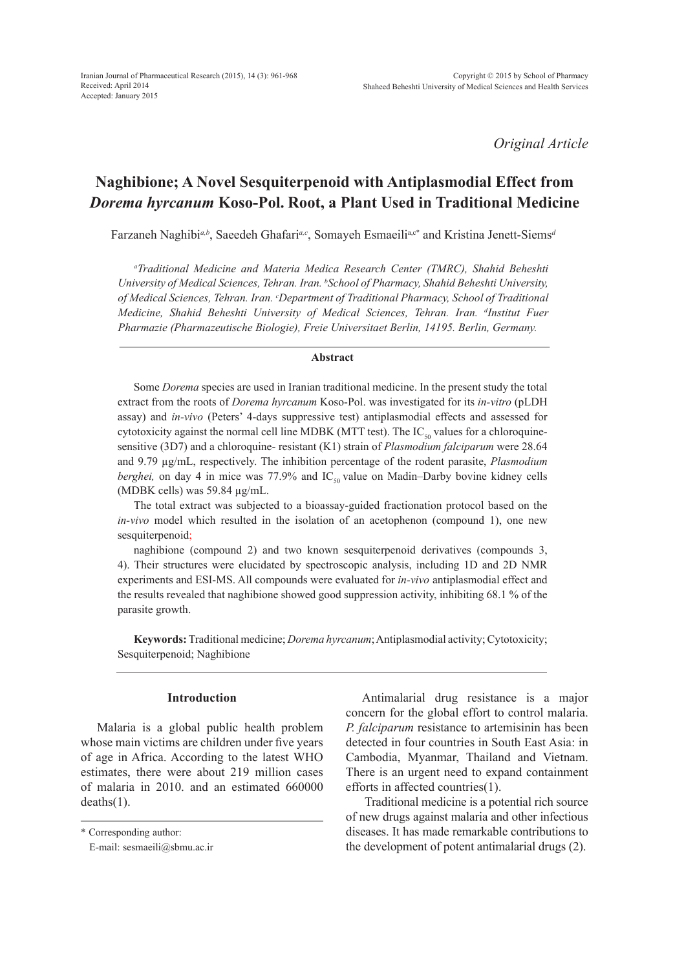*Original Article*

# **Naghibione; A Novel Sesquiterpenoid with Antiplasmodial Effect from**  *Dorema hyrcanum* **Koso-Pol. Root, a Plant Used in Traditional Medicine**

Farzaneh Naghibi<sup>a,b</sup>, Saeedeh Ghafari<sup>a,c</sup>, Somayeh Esmaeili<sup>a,c\*</sup> and Kristina Jenett-Siems<sup>d</sup>

*a Traditional Medicine and Materia Medica Research Center (TMRC), Shahid Beheshti University of Medical Sciences, Tehran. Iran. b School of Pharmacy, Shahid Beheshti University, of Medical Sciences, Tehran. Iran. c Department of Traditional Pharmacy, School of Traditional Medicine, Shahid Beheshti University of Medical Sciences, Tehran. Iran. d Institut Fuer Pharmazie (Pharmazeutische Biologie), Freie Universitaet Berlin, 14195. Berlin, Germany.* 

#### **Abstract**

Some *Dorema* species are used in Iranian traditional medicine. In the present study the total extract from the roots of *Dorema hyrcanum* Koso-Pol. was investigated for its *in-vitro* (pLDH assay) and *in-vivo* (Peters' 4-days suppressive test) antiplasmodial effects and assessed for cytotoxicity against the normal cell line MDBK (MTT test). The  $IC_{50}$  values for a chloroquinesensitive (3D7) and a chloroquine- resistant (K1) strain of *Plasmodium falciparum* were 28.64 and 9.79 µg/mL, respectively. The inhibition percentage of the rodent parasite, *Plasmodium berghei*, on day 4 in mice was 77.9% and  $IC_{50}$  value on Madin–Darby bovine kidney cells (MDBK cells) was 59.84 µg/mL.

The total extract was subjected to a bioassay-guided fractionation protocol based on the *in-vivo* model which resulted in the isolation of an acetophenon (compound 1), one new sesquiterpenoid;

naghibione (compound 2) and two known sesquiterpenoid derivatives (compounds 3, 4). Their structures were elucidated by spectroscopic analysis, including 1D and 2D NMR experiments and ESI-MS. All compounds were evaluated for *in-vivo* antiplasmodial effect and the results revealed that naghibione showed good suppression activity, inhibiting 68.1 % of the parasite growth.

**Keywords:** Traditional medicine; *Dorema hyrcanum*; Antiplasmodial activity; Cytotoxicity; Sesquiterpenoid; Naghibione

# **Introduction**

Malaria is a global public health problem whose main victims are children under five years of age in Africa. According to the latest WHO estimates, there were about 219 million cases of malaria in 2010. and an estimated 660000 deaths(1).

Antimalarial drug resistance is a major concern for the global effort to control malaria. *P. falciparum* resistance to artemisinin has been detected in four countries in South East Asia: in Cambodia, Myanmar, Thailand and Vietnam. There is an urgent need to expand containment efforts in affected countries(1).

 Traditional medicine is a potential rich source of new drugs against malaria and other infectious diseases. It has made remarkable contributions to the development of potent antimalarial drugs (2).

<sup>\*</sup> Corresponding author:

E-mail: sesmaeili@sbmu.ac.ir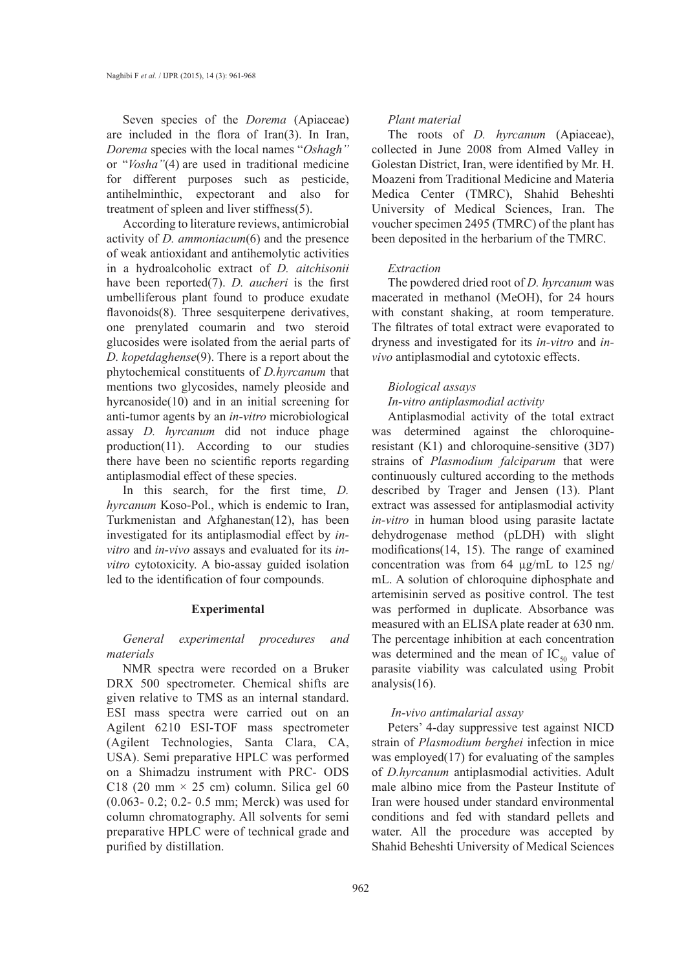Seven species of the *Dorema* (Apiaceae) are included in the flora of Iran(3). In Iran, *Dorema* species with the local names "*Oshagh"* or "*Vosha"*(4) are used in traditional medicine for different purposes such as pesticide, antihelminthic, expectorant and also for treatment of spleen and liver stiffness(5).

According to literature reviews, antimicrobial activity of *D. ammoniacum*(6) and the presence of weak antioxidant and antihemolytic activities in a hydroalcoholic extract of *D. aitchisonii* have been reported(7). *D. aucheri* is the first umbelliferous plant found to produce exudate flavonoids(8). Three sesquiterpene derivatives, one prenylated coumarin and two steroid glucosides were isolated from the aerial parts of *D. kopetdaghense*(9). There is a report about the phytochemical constituents of *D.hyrcanum* that mentions two glycosides, namely pleoside and hyrcanoside(10) and in an initial screening for anti-tumor agents by an *in-vitro* microbiological assay *D. hyrcanum* did not induce phage production(11). According to our studies there have been no scientific reports regarding antiplasmodial effect of these species.

In this search, for the first time, *D. hyrcanum* Koso-Pol., which is endemic to Iran, Turkmenistan and Afghanestan(12), has been investigated for its antiplasmodial effect by *invitro* and *in-vivo* assays and evaluated for its *invitro* cytotoxicity. A bio-assay guided isolation led to the identification of four compounds.

# **Experimental**

*General experimental procedures and materials*

NMR spectra were recorded on a Bruker DRX 500 spectrometer. Chemical shifts are given relative to TMS as an internal standard. ESI mass spectra were carried out on an Agilent 6210 ESI-TOF mass spectrometer (Agilent Technologies, Santa Clara, CA, USA). Semi preparative HPLC was performed on a Shimadzu instrument with PRC- ODS C18 (20 mm  $\times$  25 cm) column. Silica gel 60 (0.063- 0.2; 0.2- 0.5 mm; Merck) was used for column chromatography. All solvents for semi preparative HPLC were of technical grade and purified by distillation.

#### *Plant material*

The roots of *D. hyrcanum* (Apiaceae), collected in June 2008 from Almed Valley in Golestan District, Iran, were identified by Mr. H. Moazeni from Traditional Medicine and Materia Medica Center (TMRC), Shahid Beheshti University of Medical Sciences, Iran. The voucher specimen 2495 (TMRC) of the plant has been deposited in the herbarium of the TMRC.

## *Extraction*

The powdered dried root of *D. hyrcanum* was macerated in methanol (MeOH), for 24 hours with constant shaking, at room temperature. The filtrates of total extract were evaporated to dryness and investigated for its *in-vitro* and *invivo* antiplasmodial and cytotoxic effects.

# *Biological assays*

*In-vitro antiplasmodial activity*

Antiplasmodial activity of the total extract was determined against the chloroquineresistant (K1) and chloroquine-sensitive (3D7) strains of *Plasmodium falciparum* that were continuously cultured according to the methods described by Trager and Jensen (13). Plant extract was assessed for antiplasmodial activity *in-vitro* in human blood using parasite lactate dehydrogenase method (pLDH) with slight modifications(14, 15). The range of examined concentration was from 64 µg/mL to 125 ng/ mL. A solution of chloroquine diphosphate and artemisinin served as positive control. The test was performed in duplicate. Absorbance was measured with an ELISA plate reader at 630 nm. The percentage inhibition at each concentration was determined and the mean of  $IC_{50}$  value of parasite viability was calculated using Probit analysis(16).

# *In-vivo antimalarial assay*

Peters' 4-day suppressive test against NICD strain of *Plasmodium berghei* infection in mice was employed(17) for evaluating of the samples of *D.hyrcanum* antiplasmodial activities. Adult male albino mice from the Pasteur Institute of Iran were housed under standard environmental conditions and fed with standard pellets and water. All the procedure was accepted by Shahid Beheshti University of Medical Sciences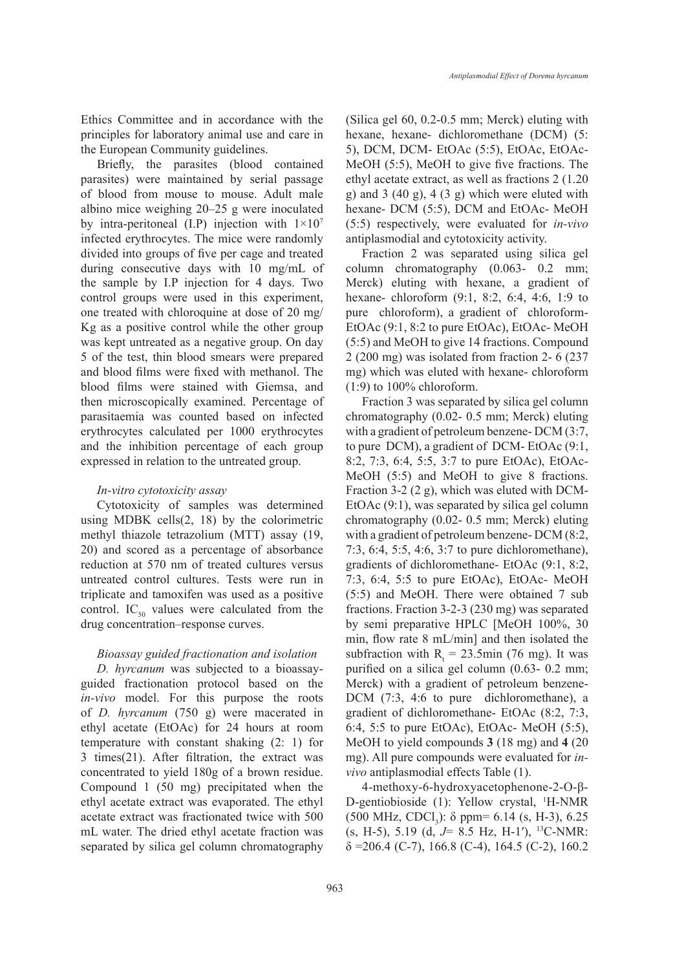Ethics Committee and in accordance with the principles for laboratory animal use and care in the European Community guidelines.

Briefly, the parasites (blood contained parasites) were maintained by serial passage of blood from mouse to mouse. Adult male albino mice weighing 20–25 g were inoculated by intra-peritoneal (I.P) injection with  $1\times10^7$ infected erythrocytes. The mice were randomly divided into groups of five per cage and treated during consecutive days with 10 mg/mL of the sample by I.P injection for 4 days. Two control groups were used in this experiment, one treated with chloroquine at dose of 20 mg/ Kg as a positive control while the other group was kept untreated as a negative group. On day 5 of the test, thin blood smears were prepared and blood films were fixed with methanol. The blood films were stained with Giemsa, and then microscopically examined. Percentage of parasitaemia was counted based on infected erythrocytes calculated per 1000 erythrocytes and the inhibition percentage of each group expressed in relation to the untreated group.

#### *In-vitro cytotoxicity assay*

Cytotoxicity of samples was determined using MDBK cells(2, 18) by the colorimetric methyl thiazole tetrazolium (MTT) assay (19, 20) and scored as a percentage of absorbance reduction at 570 nm of treated cultures versus untreated control cultures. Tests were run in triplicate and tamoxifen was used as a positive control. IC<sub>50</sub> values were calculated from the drug concentration–response curves.

# *Bioassay guided fractionation and isolation*

*D. hyrcanum* was subjected to a bioassayguided fractionation protocol based on the *in-vivo* model. For this purpose the roots of *D. hyrcanum* (750 g) were macerated in ethyl acetate (EtOAc) for 24 hours at room temperature with constant shaking (2: 1) for 3 times(21). After filtration, the extract was concentrated to yield 180g of a brown residue. Compound 1 (50 mg) precipitated when the ethyl acetate extract was evaporated. The ethyl acetate extract was fractionated twice with 500 mL water. The dried ethyl acetate fraction was separated by silica gel column chromatography (Silica gel 60, 0.2-0.5 mm; Merck) eluting with hexane, hexane- dichloromethane (DCM) (5: 5), DCM, DCM- EtOAc (5:5), EtOAc, EtOAc-MeOH (5:5), MeOH to give five fractions. The ethyl acetate extract, as well as fractions 2 (1.20 g) and  $3(40 \text{ g})$ ,  $4(3 \text{ g})$  which were eluted with hexane- DCM (5:5), DCM and EtOAc- MeOH (5:5) respectively, were evaluated for *in-vivo* antiplasmodial and cytotoxicity activity.

Fraction 2 was separated using silica gel column chromatography (0.063- 0.2 mm; Merck) eluting with hexane, a gradient of hexane- chloroform (9:1, 8:2, 6:4, 4:6, 1:9 to pure chloroform), a gradient of chloroform-EtOAc (9:1, 8:2 to pure EtOAc), EtOAc- MeOH (5:5) and MeOH to give 14 fractions. Compound 2 (200 mg) was isolated from fraction 2- 6 (237 mg) which was eluted with hexane- chloroform (1:9) to 100% chloroform.

Fraction 3 was separated by silica gel column chromatography (0.02- 0.5 mm; Merck) eluting with a gradient of petroleum benzene- DCM (3:7, to pure DCM), a gradient of DCM- EtOAc (9:1, 8:2, 7:3, 6:4, 5:5, 3:7 to pure EtOAc), EtOAc-MeOH (5:5) and MeOH to give 8 fractions. Fraction 3-2 (2 g), which was eluted with DCM-EtOAc (9:1), was separated by silica gel column chromatography (0.02- 0.5 mm; Merck) eluting with a gradient of petroleum benzene- DCM (8:2, 7:3, 6:4, 5:5, 4:6, 3:7 to pure dichloromethane), gradients of dichloromethane- EtOAc (9:1, 8:2, 7:3, 6:4, 5:5 to pure EtOAc), EtOAc- MeOH (5:5) and MeOH. There were obtained 7 sub fractions. Fraction 3-2-3 (230 mg) was separated by semi preparative HPLC [MeOH 100%, 30 min, flow rate 8 mL/min] and then isolated the subfraction with  $R_t = 23.5$ min (76 mg). It was purified on a silica gel column (0.63- 0.2 mm; Merck) with a gradient of petroleum benzene-DCM (7:3, 4:6 to pure dichloromethane), a gradient of dichloromethane- EtOAc (8:2, 7:3, 6:4, 5:5 to pure EtOAc), EtOAc- MeOH (5:5), MeOH to yield compounds **3** (18 mg) and **4** (20 mg). All pure compounds were evaluated for *invivo* antiplasmodial effects Table (1).

4-methoxy-6-hydroxyacetophenone-2-O-β-D-gentiobioside (1): Yellow crystal, <sup>1</sup>H-NMR  $(500 \text{ MHz}, \text{CDCl}_3)$ :  $\delta$  ppm= 6.14 (s, H-3), 6.25 (s, H-5), 5.19 (d, *J*= 8.5 Hz, H-1′), 13C-NMR:  $\delta$  =206.4 (C-7), 166.8 (C-4), 164.5 (C-2), 160.2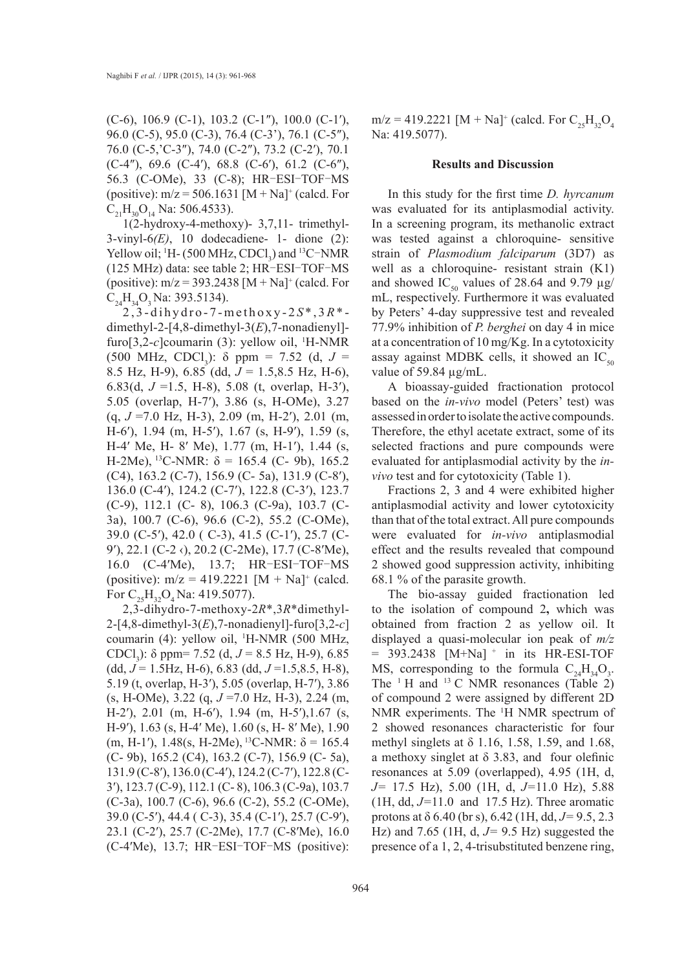(C-6), 106.9 (C-1), 103.2 (C-1″), 100.0 (C-1′), 96.0 (C-5), 95.0 (C-3), 76.4 (C-3'), 76.1 (C-5″), 76.0 (C-5,'C-3″), 74.0 (C-2″), 73.2 (C-2′), 70.1 (C-4″), 69.6 (C-4′), 68.8 (C-6′), 61.2 (C-6″), 56.3 (C-OMe), 33 (C-8); HR‑ESI‑TOF‑MS (positive):  $m/z = 506.1631$  [M + Na]<sup>+</sup> (calcd. For  $C_{21}H_{30}O_{14}$  Na: 506.4533).

1(2-hydroxy-4-methoxy)- 3,7,11- trimethyl-3-vinyl-6*(E)*, 10 dodecadiene- 1- dione (2): Yellow oil; <sup>1</sup>H - (500 MHz,  $CDCl<sub>3</sub>$ ) and <sup>13</sup>C<sup>-</sup>NMR (125 MHz) data: see table 2; HR‑ESI‑TOF‑MS (positive):  $m/z = 393.2438$  [M + Na]<sup>+</sup> (calcd. For  $C_{24}H_{24}O_3$  Na: 393.5134).

2,3-dihydro-7-methoxy-2 *S* \*,3*R*\* dimethyl-2-[4,8-dimethyl-3(*E*),7-nonadienyl] furo $[3,2-c]$ coumarin  $(3)$ : yellow oil, <sup>1</sup>H-NMR  $(500 \text{ MHz}, \text{CDCl}_3)$ :  $\delta$  ppm = 7.52 (d, J = 8.5 Hz, H-9), 6.85 (dd, *J* = 1.5,8.5 Hz, H-6), 6.83(d, *J* =1.5, H-8), 5.08 (t, overlap, H-3′), 5.05 (overlap, H-7′), 3.86 (s, H-OMe), 3.27 (q, *J* =7.0 Hz, H-3), 2.09 (m, H-2′), 2.01 (m, H-6′), 1.94 (m, H-5′), 1.67 (s, H-9′), 1.59 (s, H-4′ Me, H- 8′ Me), 1.77 (m, H-1′), 1.44 (s, H-2Me), <sup>13</sup>C-NMR:  $\delta$  = 165.4 (C- 9b), 165.2 (C4), 163.2 (C-7), 156.9 (C- 5a), 131.9 (C-8′), 136.0 (C-4′), 124.2 (C-7′), 122.8 (C-3′), 123.7 (C-9), 112.1 (C- 8), 106.3 (C-9a), 103.7 (C-3a), 100.7 (C-6), 96.6 (C-2), 55.2 (C-OMe), 39.0 (C-5′), 42.0 ( C-3), 41.5 (C-1′), 25.7 (C-9′), 22.1 (C-2 ‹), 20.2 (C-2Me), 17.7 (C-8′Me), 16.0 (C-4'Me), 13.7; HR-ESI-TOF-MS (positive):  $m/z = 419.2221$  [M + Na]<sup>+</sup> (calcd. For  $C_{25}H_{32}O_4$  Na: 419.5077).

2,3-dihydro-7-methoxy-2*R*\*,3*R*\*dimethyl-2-[4,8-dimethyl-3(*E*),7-nonadienyl]-furo[3,2-*c*] coumarin (4): yellow oil, 1 H-NMR (500 MHz, CDCl<sub>3</sub>): δ ppm= 7.52 (d, *J* = 8.5 Hz, H-9), 6.85 (dd, *J* = 1.5Hz, H-6), 6.83 (dd, *J* =1.5,8.5, H-8), 5.19 (t, overlap, H-3′), 5.05 (overlap, H-7′), 3.86 (s, H-OMe), 3.22 (q, *J* =7.0 Hz, H-3), 2.24 (m, H-2′), 2.01 (m, H-6′), 1.94 (m, H-5′),1.67 (s, H-9′), 1.63 (s, H-4′ Me), 1.60 (s, H- 8′ Me), 1.90 (m, H-1'), 1.48(s, H-2Me), <sup>13</sup>C-NMR:  $\delta$  = 165.4 (C- 9b), 165.2 (C4), 163.2 (C-7), 156.9 (C- 5a), 131.9 (C-8′), 136.0 (C-4′), 124.2 (C-7′), 122.8 (C-3′), 123.7 (C-9), 112.1 (C- 8), 106.3 (C-9a), 103.7 (C-3a), 100.7 (C-6), 96.6 (C-2), 55.2 (C-OMe), 39.0 (C-5′), 44.4 ( C-3), 35.4 (C-1′), 25.7 (C-9′), 23.1 (C-2′), 25.7 (C-2Me), 17.7 (C-8′Me), 16.0 (C-4′Me), 13.7; HR‑ESI‑TOF‑MS (positive):

 $m/z = 419.2221$  [M + Na]<sup>+</sup> (calcd. For  $C_{25}H_{32}O_4$ Na: 419.5077).

#### **Results and Discussion**

In this study for the first time *D. hyrcanum*  was evaluated for its antiplasmodial activity. In a screening program, its methanolic extract was tested against a chloroquine- sensitive strain of *Plasmodium falciparum* (3D7) as well as a chloroquine- resistant strain (K1) and showed IC<sub>50</sub> values of 28.64 and 9.79  $\mu$ g/ mL, respectively. Furthermore it was evaluated by Peters' 4-day suppressive test and revealed 77.9% inhibition of *P. berghei* on day 4 in mice at a concentration of 10 mg/Kg. In a cytotoxicity assay against MDBK cells, it showed an  $IC_{50}$ value of 59.84 µg/mL.

A bioassay-guided fractionation protocol based on the *in-vivo* model (Peters' test) was assessed in order to isolate the active compounds. Therefore, the ethyl acetate extract, some of its selected fractions and pure compounds were evaluated for antiplasmodial activity by the *invivo* test and for cytotoxicity (Table 1).

Fractions 2, 3 and 4 were exhibited higher antiplasmodial activity and lower cytotoxicity than that of the total extract. All pure compounds were evaluated for *in-vivo* antiplasmodial effect and the results revealed that compound 2 showed good suppression activity, inhibiting 68.1 % of the parasite growth.

The bio-assay guided fractionation led to the isolation of compound 2**,** which was obtained from fraction 2 as yellow oil. It displayed a quasi-molecular ion peak of *m/z*  $= 393.2438$  [M+Na]<sup>+</sup> in its HR-ESI-TOF MS, corresponding to the formula  $C_{24}H_{34}O_3$ . The  $1$ <sup>H</sup> and  $13$  C NMR resonances (Table 2) of compound 2 were assigned by different 2D NMR experiments. The <sup>1</sup>H NMR spectrum of 2 showed resonances characteristic for four methyl singlets at  $\delta$  1.16, 1.58, 1.59, and 1.68, a methoxy singlet at  $\delta$  3.83, and four olefinic resonances at 5.09 (overlapped), 4.95 (1H, d, *J=* 17.5 Hz), 5.00 (1H, d, *J=*11.0 Hz), 5.88 (1H, dd, *J=*11.0and17.5 Hz). Three aromatic protons at δ 6.40 (br s), 6.42 (1H, dd, *J=* 9.5, 2.3 Hz) and 7.65 (1H, d, *J=* 9.5 Hz) suggested the presence of a 1, 2, 4-trisubstituted benzene ring,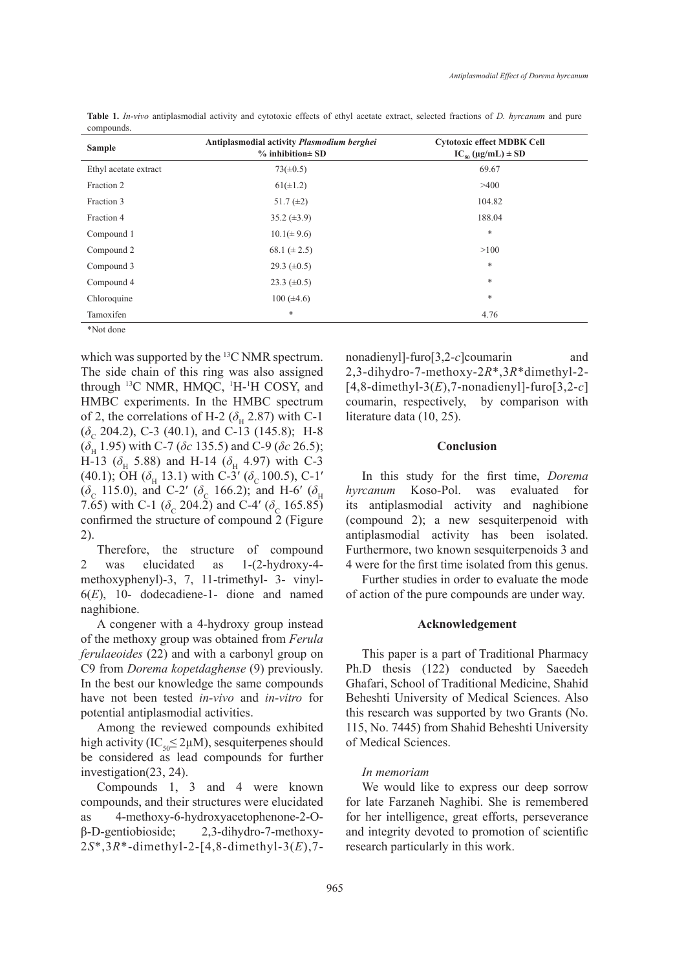| <b>Sample</b>         | Antiplasmodial activity Plasmodium berghei<br>$%$ inhibition $\pm$ SD | <b>Cytotoxic effect MDBK Cell</b><br>$IC_{so}(\mu g/mL) \pm SD$ |
|-----------------------|-----------------------------------------------------------------------|-----------------------------------------------------------------|
| Ethyl acetate extract | $73(\pm 0.5)$                                                         | 69.67                                                           |
| Fraction 2            | $61(\pm 1.2)$                                                         | >400                                                            |
| Fraction 3            | 51.7 $(\pm 2)$                                                        | 104.82                                                          |
| Fraction 4            | $35.2 \ (\pm 3.9)$                                                    | 188.04                                                          |
| Compound 1            | $10.1(\pm 9.6)$                                                       | *                                                               |
| Compound 2            | 68.1 $(\pm 2.5)$                                                      | >100                                                            |
| Compound 3            | 29.3 $(\pm 0.5)$                                                      | *                                                               |
| Compound 4            | 23.3 $(\pm 0.5)$                                                      | *                                                               |
| Chloroquine           | $100 (\pm 4.6)$                                                       | *                                                               |
| Tamoxifen             | $\ast$                                                                | 4.76                                                            |

**Table 1.** *In-vivo* antiplasmodial activity and cytotoxic effects of ethyl acetate extract, selected fractions of *D. hyrcanum* and pure compounds.

\*Not done

which was supported by the  ${}^{13}C$  NMR spectrum. The side chain of this ring was also assigned through  $^{13}C$  NMR, HMQC,  $^{1}H$ - $^{1}H$  COSY, and HMBC experiments. In the HMBC spectrum of 2, the correlations of H-2 ( $\delta$ <sub>H</sub> 2.87) with C-1  $(\delta_c 204.2)$ , C-3 (40.1), and C-13 (145.8); H-8 (*δ*H 1.95) with C-7 (*δc* 135.5) and C-9 (*δc* 26.5); H-13 ( $\delta_{\rm H}$  5.88) and H-14 ( $\delta_{\rm H}$  4.97) with C-3 (40.1); OH ( $\delta_{\rm H}$  13.1) with C-3<sup>'</sup> ( $\delta_{\rm C}$  100.5), C-1'  $(\delta_c \text{ 115.0})$ , and C-2' ( $\delta_c \text{ 166.2})$ ; and H-6' ( $\delta_H$ 7.65) with C-1 ( $\delta_c$  204.2) and C-4' ( $\delta_c$  165.85) confirmed the structure of compound 2 (Figure 2).

Therefore, the structure of compound 2 was elucidated as 1-(2-hydroxy-4 methoxyphenyl)-3, 7, 11-trimethyl- 3- vinyl-6(*E*), 10- dodecadiene-1- dione and named naghibione.

A congener with a 4-hydroxy group instead of the methoxy group was obtained from *Ferula ferulaeoides* (22) and with a carbonyl group on C9 from *Dorema kopetdaghense* (9) previously. In the best our knowledge the same compounds have not been tested *in-vivo* and *in-vitro* for potential antiplasmodial activities.

Among the reviewed compounds exhibited high activity (IC<sub>50</sub> $\leq$ 2 $\mu$ M), sesquiterpenes should be considered as lead compounds for further investigation(23, 24).

Compounds 1, 3 and 4 were known compounds, and their structures were elucidated as 4-methoxy-6-hydroxyacetophenone-2-Oβ-D-gentiobioside; 2,3-dihydro-7-methoxy-2*S*\*,3*R*\*-dimethyl-2-[4,8-dimethyl-3(*E*),7nonadienyl]-furo[3,2-*c*]coumarin and 2,3-dihydro-7-methoxy-2*R*\*,3*R*\*dimethyl-2- [4,8-dimethyl-3(*E*),7-nonadienyl]-furo[3,2-*c*] coumarin, respectively, by comparison with literature data (10, 25).

## **Conclusion**

In this study for the first time, *Dorema hyrcanum* Koso-Pol. was evaluated for its antiplasmodial activity and naghibione (compound 2); a new sesquiterpenoid with antiplasmodial activity has been isolated. Furthermore, two known sesquiterpenoids 3 and 4 were for the first time isolated from this genus.

Further studies in order to evaluate the mode of action of the pure compounds are under way.

## **Acknowledgement**

This paper is a part of Traditional Pharmacy Ph.D thesis (122) conducted by Saeedeh Ghafari, School of Traditional Medicine, Shahid Beheshti University of Medical Sciences. Also this research was supported by two Grants (No. 115, No. 7445) from Shahid Beheshti University of Medical Sciences.

# *In memoriam*

We would like to express our deep sorrow for late Farzaneh Naghibi. She is remembered for her intelligence, great efforts, perseverance and integrity devoted to promotion of scientific research particularly in this work.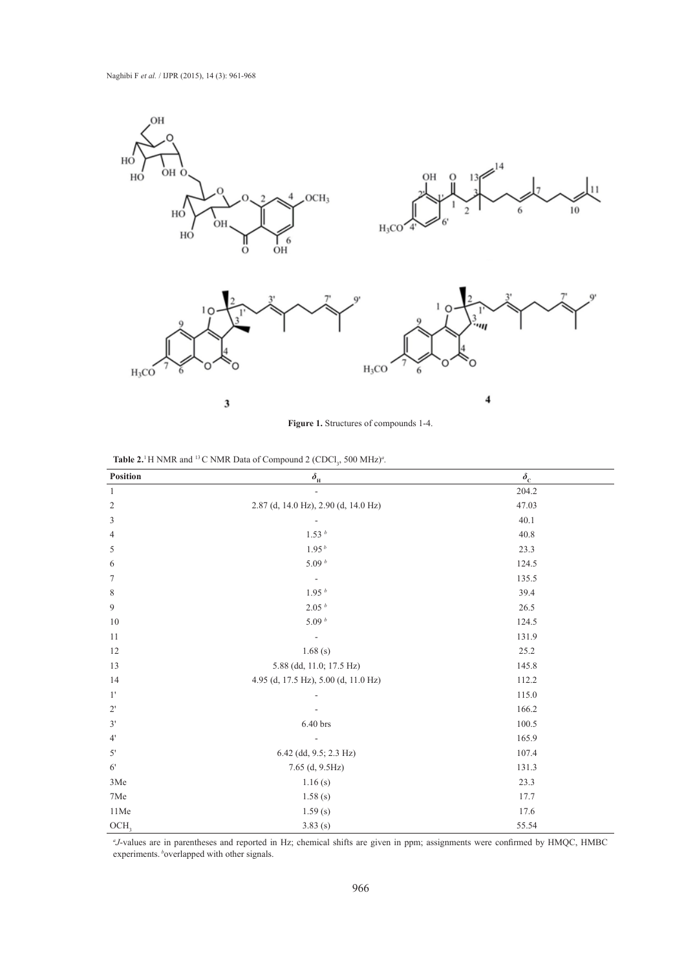

**Figure 1.** Structures of compounds 1-4.

**Table 2.**<sup>1</sup> H NMR and <sup>13</sup> C NMR Data of Compound 2 (CDCl<sub>3</sub>, 500 MHz)<sup>*a*</sup>.

| Position                    | $\delta_{\rm H}$                     | $\delta_{\rm c}$ |
|-----------------------------|--------------------------------------|------------------|
| $\mathbf{1}$                | $\overline{\phantom{a}}$             | 204.2            |
| $\sqrt{2}$                  | 2.87 (d, 14.0 Hz), 2.90 (d, 14.0 Hz) | 47.03            |
| $\ensuremath{\mathfrak{Z}}$ |                                      | 40.1             |
| $\overline{4}$              | 1.53hb                               | 40.8             |
| 5                           | 1.95 <sup>b</sup>                    | 23.3             |
| 6                           | 5.09 $^b$                            | 124.5            |
| $\tau$                      |                                      | 135.5            |
| $\,8\,$                     | 1.95 <sup>b</sup>                    | 39.4             |
| 9                           | 2.05 <sup>b</sup>                    | 26.5             |
| 10                          | 5.09 $^b$                            | 124.5            |
| 11                          |                                      | 131.9            |
| 12                          | 1.68(s)                              | 25.2             |
| 13                          | 5.88 (dd, 11.0; 17.5 Hz)             | 145.8            |
| 14                          | 4.95 (d, 17.5 Hz), 5.00 (d, 11.0 Hz) | 112.2            |
| $1^{\prime}$                |                                      | 115.0            |
| $2^{\prime}$                |                                      | 166.2            |
| 3'                          | $6.40\,\mathrm{brs}$                 | 100.5            |
| 4'                          |                                      | 165.9            |
| 5'                          | 6.42 (dd, 9.5; 2.3 Hz)               | 107.4            |
| $6^{\prime}$                | 7.65 (d, 9.5Hz)                      | 131.3            |
| 3Me                         | 1.16(s)                              | 23.3             |
| 7Me                         | 1.58(s)                              | 17.7             |
| $11\mathrm{Me}$             | 1.59(s)                              | 17.6             |
| OCH <sub>3</sub>            | 3.83(s)                              | 55.54            |

*a J*-values are in parentheses and reported in Hz; chemical shifts are given in ppm; assignments were confirmed by HMQC, HMBC experiments. boverlapped with other signals.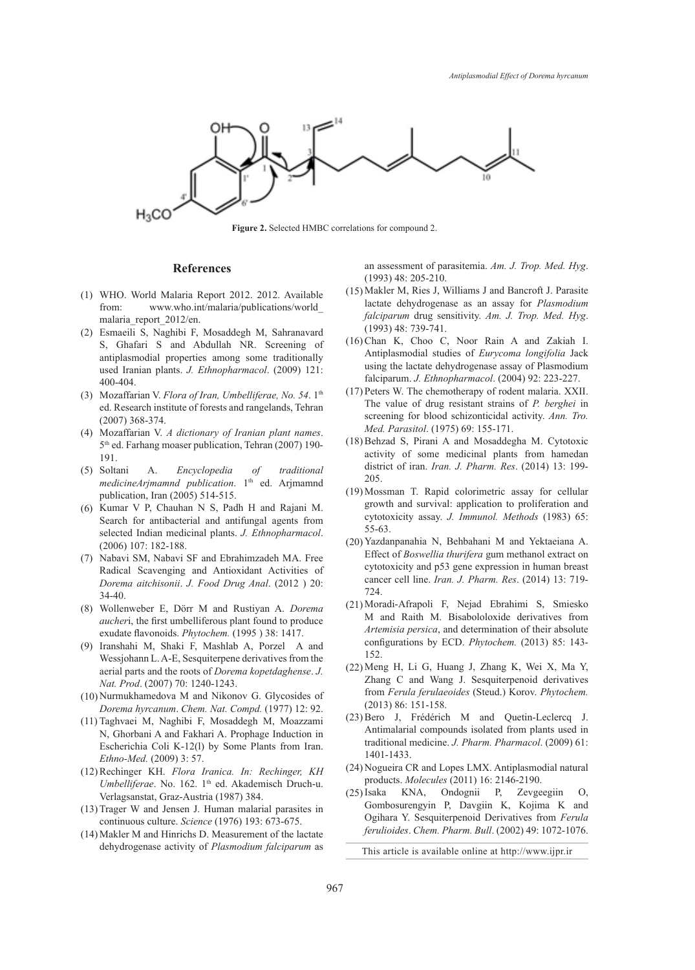

**Figure 2.** Selected HMBC correlations for compound 2.

#### **References**

- WHO. World Malaria Report 2012. 2012. Available (1) from: www.who.int/malaria/publications/world\_ malaria\_report\_2012/en.
- Esmaeili S, Naghibi F, Mosaddegh M, Sahranavard (2) S, Ghafari S and Abdullah NR. Screening of antiplasmodial properties among some traditionally used Iranian plants. *J. Ethnopharmacol*. (2009) 121: 400-404.
- (3) Mozaffarian V. Flora of Iran, Umbelliferae, No. 54. 1<sup>th</sup> ed. Research institute of forests and rangelands, Tehran (2007) 368-374.
- Mozaffarian V. *A dictionary of Iranian plant names*. (4) 5<sup>th</sup> ed. Farhang moaser publication, Tehran (2007) 190-191.
- A. *Encyclopedia of traditional medicineArjmamnd publication*. 1th ed. Arjmamnd publication, Iran (2005) 514-515. (5)
- $(6)$  Kumar V P, Chauhan N S, Padh H and Rajani M. Search for antibacterial and antifungal agents from selected Indian medicinal plants. *J. Ethnopharmacol*. (2006) 107: 182-188.
- (7) Nabavi SM, Nabavi SF and Ebrahimzadeh MA. Free Radical Scavenging and Antioxidant Activities of *Dorema aitchisonii*. *J. Food Drug Anal*. (2012 ) 20: 34-40.
- Wollenweber E, Dörr M and Rustiyan A. *Dorema*  (8) *aucher*i, the first umbelliferous plant found to produce exudate flavonoids. *Phytochem.* (1995 ) 38: 1417.
- Iranshahi M, Shaki F, Mashlab A, Porzel A and (9) Wessjohann L. A-E, Sesquiterpene derivatives from the aerial parts and the roots of *Dorema kopetdaghense*. *J. Nat. Prod*. (2007) 70: 1240-1243.
- (10) Nurmukhamedova M and Nikonov G. Glycosides of *Dorema hyrcanum*. *Chem. Nat. Compd.* (1977) 12: 92.
- (11) Taghvaei M, Naghibi F, Mosaddegh M, Moazzami N, Ghorbani A and Fakhari A. Prophage Induction in Escherichia Coli K-12(l) by Some Plants from Iran. *Ethno-Med.* (2009) 3: 57.
- (12) Rechinger KH. Flora Iranica. In: Rechinger, KH *Umbelliferae*. No. 162. 1<sup>th</sup> ed. Akademisch Druch-u. Verlagsanstat, Graz-Austria (1987) 384.
- (13) Trager W and Jensen J. Human malarial parasites in continuous culture. *Science* (1976) 193: 673-675.
- (14) Makler M and Hinrichs D. Measurement of the lactate dehydrogenase activity of *Plasmodium falciparum* as

an assessment of parasitemia. *Am. J. Trop. Med. Hyg*. (1993) 48: 205-210.

- (15) Makler M, Ries J, Williams J and Bancroft J. Parasite lactate dehydrogenase as an assay for *Plasmodium falciparum* drug sensitivity. *Am. J. Trop. Med. Hyg*. (1993) 48: 739-741.
- $(16)$  Chan K, Choo C, Noor Rain A and Zakiah I. Antiplasmodial studies of *Eurycoma longifolia* Jack using the lactate dehydrogenase assay of Plasmodium falciparum. *J. Ethnopharmacol*. (2004) 92: 223-227.
- (17) Peters W. The chemotherapy of rodent malaria. XXII. The value of drug resistant strains of *P. berghei* in screening for blood schizonticidal activity. *Ann. Tro. Med. Parasitol*. (1975) 69: 155-171.
- Behzad S, Pirani A and Mosaddegha M. Cytotoxic (18) activity of some medicinal plants from hamedan district of iran. *Iran. J. Pharm. Res*. (2014) 13: 199- 205.
- (19) Mossman T. Rapid colorimetric assay for cellular growth and survival: application to proliferation and cytotoxicity assay. *J. Immunol. Methods* (1983) 65: 55-63.
- (20) Yazdanpanahia N, Behbahani M and Yektaeiana A. Effect of *Boswellia thurifera* gum methanol extract on cytotoxicity and p53 gene expression in human breast cancer cell line. *Iran. J. Pharm. Res*. (2014) 13: 719- 724.
- Moradi-Afrapoli F, Nejad Ebrahimi S, Smiesko (21) M and Raith M. Bisabololoxide derivatives from *Artemisia persica*, and determination of their absolute configurations by ECD. *Phytochem.* (2013) 85: 143- 152.
- Meng H, Li G, Huang J, Zhang K, Wei X, Ma Y, (22) Zhang C and Wang J. Sesquiterpenoid derivatives from *Ferula ferulaeoides* (Steud.) Korov. *Phytochem.* (2013) 86: 151-158.
- $(23)$  Bero J, Frédérich M and Quetin-Leclercq J. Antimalarial compounds isolated from plants used in traditional medicine. *J. Pharm. Pharmacol*. (2009) 61: 1401-1433.
- (24) Nogueira CR and Lopes LMX. Antiplasmodial natural products. *Molecules* (2011) 16: 2146-2190.
- (25) Isaka KNA, Ondognii P, Zevgeegiin O, Gombosurengyin P, Davgiin K, Kojima K and Ogihara Y. Sesquiterpenoid Derivatives from *Ferula ferulioides*. *Chem. Pharm. Bull*. (2002) 49: 1072-1076.

This article is available online at http://www.ijpr.ir